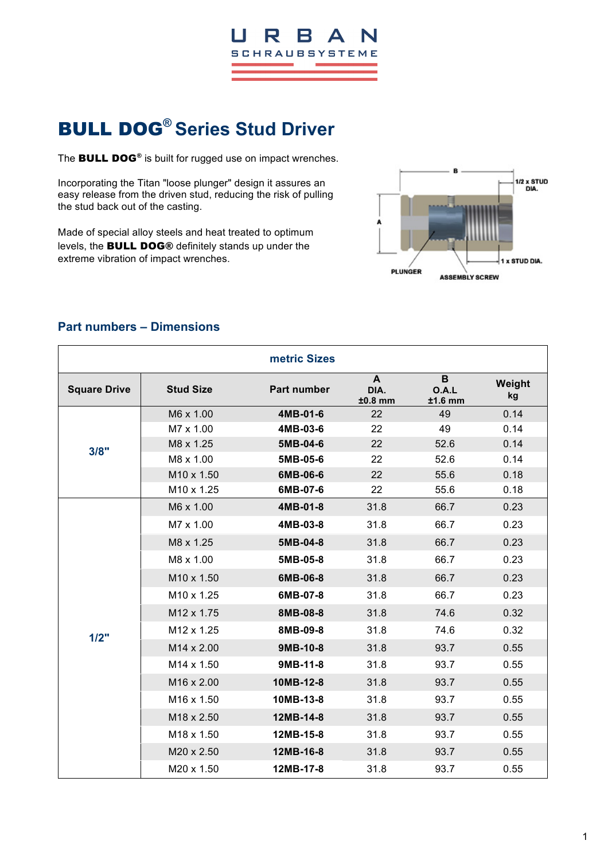

# BULL DOG**® Series Stud Driver**

The **BULL DOG®** is built for rugged use on impact wrenches.

Incorporating the Titan "loose plunger" design it assures an easy release from the driven stud, reducing the risk of pulling the stud back out of the casting.

Made of special alloy steels and heat treated to optimum levels, the BULL DOG® definitely stands up under the extreme vibration of impact wrenches.



|                     |                        | metric Sizes       |                        |                         |              |
|---------------------|------------------------|--------------------|------------------------|-------------------------|--------------|
| <b>Square Drive</b> | <b>Stud Size</b>       | <b>Part number</b> | A<br>DIA.<br>$±0.8$ mm | B<br>O.A.L<br>$±1.6$ mm | Weight<br>kg |
| 3/8"                | M6 x 1.00              | 4MB-01-6           | 22                     | 49                      | 0.14         |
|                     | M7 x 1.00              | 4MB-03-6           | 22                     | 49                      | 0.14         |
|                     | M8 x 1.25              | 5MB-04-6           | 22                     | 52.6                    | 0.14         |
|                     | M8 x 1.00              | 5MB-05-6           | 22                     | 52.6                    | 0.14         |
|                     | M10 x 1.50             | 6MB-06-6           | 22                     | 55.6                    | 0.18         |
|                     | M10 x 1.25             | 6MB-07-6           | 22                     | 55.6                    | 0.18         |
|                     | M6 x 1.00              | 4MB-01-8           | 31.8                   | 66.7                    | 0.23         |
|                     | M7 x 1.00              | 4MB-03-8           | 31.8                   | 66.7                    | 0.23         |
|                     | M8 x 1.25              | 5MB-04-8           | 31.8                   | 66.7                    | 0.23         |
|                     | M8 x 1.00              | 5MB-05-8           | 31.8                   | 66.7                    | 0.23         |
|                     | M10 x 1.50             | 6MB-06-8           | 31.8                   | 66.7                    | 0.23         |
|                     | M10 x 1.25             | 6MB-07-8           | 31.8                   | 66.7                    | 0.23         |
|                     | M12 x 1.75             | 8MB-08-8           | 31.8                   | 74.6                    | 0.32         |
| 1/2"                | M12 x 1.25             | 8MB-09-8           | 31.8                   | 74.6                    | 0.32         |
|                     | M14 x 2.00             | 9MB-10-8           | 31.8                   | 93.7                    | 0.55         |
|                     | M14 x 1.50             | 9MB-11-8           | 31.8                   | 93.7                    | 0.55         |
|                     | M16 x 2.00             | 10MB-12-8          | 31.8                   | 93.7                    | 0.55         |
|                     | M <sub>16</sub> x 1.50 | 10MB-13-8          | 31.8                   | 93.7                    | 0.55         |
|                     | M18 x 2.50             | 12MB-14-8          | 31.8                   | 93.7                    | 0.55         |
|                     | M18 x 1.50             | 12MB-15-8          | 31.8                   | 93.7                    | 0.55         |
|                     | M20 x 2.50             | 12MB-16-8          | 31.8                   | 93.7                    | 0.55         |
|                     | M20 x 1.50             | 12MB-17-8          | 31.8                   | 93.7                    | 0.55         |

### **Part numbers – Dimensions**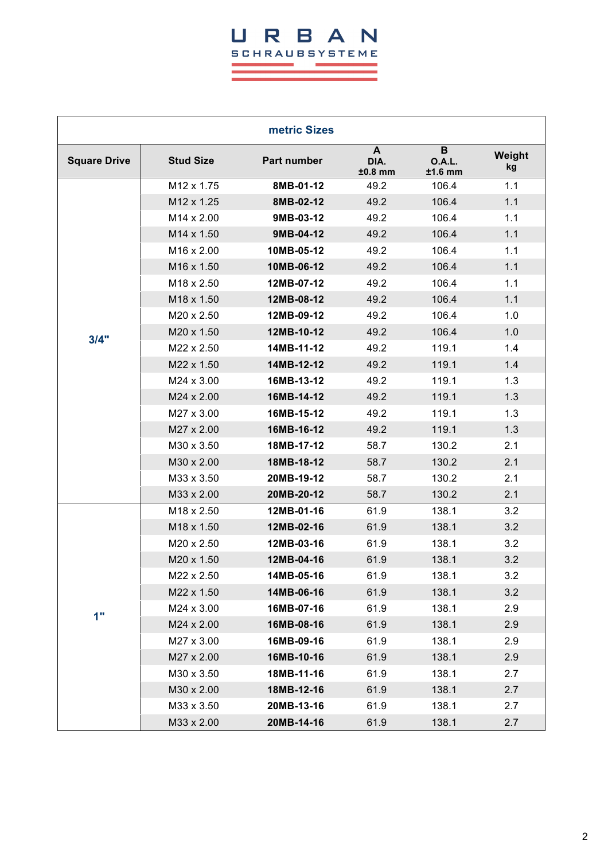## URBAN **SCHRAUBSYSTEME**

 $\mathcal{L}_{\text{max}}$  and  $\mathcal{L}_{\text{max}}$  and  $\mathcal{L}_{\text{max}}$ 

and the control of the control of the control of the control of the control of the control of the control of the

 $\sim 10^{-1}$ 

÷.

| metric Sizes        |                        |             |                        |                          |              |
|---------------------|------------------------|-------------|------------------------|--------------------------|--------------|
| <b>Square Drive</b> | <b>Stud Size</b>       | Part number | A<br>DIA.<br>$±0.8$ mm | B<br>O.A.L.<br>$±1.6$ mm | Weight<br>kg |
|                     | M12 x 1.75             | 8MB-01-12   | 49.2                   | 106.4                    | 1.1          |
|                     | M12 x 1.25             | 8MB-02-12   | 49.2                   | 106.4                    | 1.1          |
|                     | M14 x 2.00             | 9MB-03-12   | 49.2                   | 106.4                    | 1.1          |
|                     | M14 x 1.50             | 9MB-04-12   | 49.2                   | 106.4                    | 1.1          |
|                     | M16 x 2.00             | 10MB-05-12  | 49.2                   | 106.4                    | 1.1          |
|                     | M16 x 1.50             | 10MB-06-12  | 49.2                   | 106.4                    | 1.1          |
|                     | M <sub>18</sub> x 2.50 | 12MB-07-12  | 49.2                   | 106.4                    | 1.1          |
|                     | M18 x 1.50             | 12MB-08-12  | 49.2                   | 106.4                    | 1.1          |
|                     | M20 x 2.50             | 12MB-09-12  | 49.2                   | 106.4                    | 1.0          |
| 3/4"                | M20 x 1.50             | 12MB-10-12  | 49.2                   | 106.4                    | 1.0          |
|                     | M22 x 2.50             | 14MB-11-12  | 49.2                   | 119.1                    | 1.4          |
|                     | M22 x 1.50             | 14MB-12-12  | 49.2                   | 119.1                    | 1.4          |
|                     | M24 x 3.00             | 16MB-13-12  | 49.2                   | 119.1                    | 1.3          |
|                     | M24 x 2.00             | 16MB-14-12  | 49.2                   | 119.1                    | 1.3          |
|                     | M27 x 3.00             | 16MB-15-12  | 49.2                   | 119.1                    | 1.3          |
|                     | M27 x 2.00             | 16MB-16-12  | 49.2                   | 119.1                    | 1.3          |
|                     | M30 x 3.50             | 18MB-17-12  | 58.7                   | 130.2                    | 2.1          |
|                     | M30 x 2.00             | 18MB-18-12  | 58.7                   | 130.2                    | 2.1          |
|                     | M33 x 3.50             | 20MB-19-12  | 58.7                   | 130.2                    | 2.1          |
|                     | M33 x 2.00             | 20MB-20-12  | 58.7                   | 130.2                    | 2.1          |
|                     | M18 x 2.50             | 12MB-01-16  | 61.9                   | 138.1                    | 3.2          |
|                     | M18 x 1.50             | 12MB-02-16  | 61.9                   | 138.1                    | 3.2          |
|                     | M20 x 2.50             | 12MB-03-16  | 61.9                   | 138.1                    | 3.2          |
|                     | M20 x 1.50             | 12MB-04-16  | 61.9                   | 138.1                    | 3.2          |
| 1"                  | M22 x 2.50             | 14MB-05-16  | 61.9                   | 138.1                    | 3.2          |
|                     | M22 x 1.50             | 14MB-06-16  | 61.9                   | 138.1                    | 3.2          |
|                     | M24 x 3.00             | 16MB-07-16  | 61.9                   | 138.1                    | 2.9          |
|                     | M24 x 2.00             | 16MB-08-16  | 61.9                   | 138.1                    | 2.9          |
|                     | M27 x 3.00             | 16MB-09-16  | 61.9                   | 138.1                    | 2.9          |
|                     | M27 x 2.00             | 16MB-10-16  | 61.9                   | 138.1                    | 2.9          |
|                     | M30 x 3.50             | 18MB-11-16  | 61.9                   | 138.1                    | 2.7          |
|                     | M30 x 2.00             | 18MB-12-16  | 61.9                   | 138.1                    | 2.7          |
|                     | M33 x 3.50             | 20MB-13-16  | 61.9                   | 138.1                    | 2.7          |
|                     | M33 x 2.00             | 20MB-14-16  | 61.9                   | 138.1                    | 2.7          |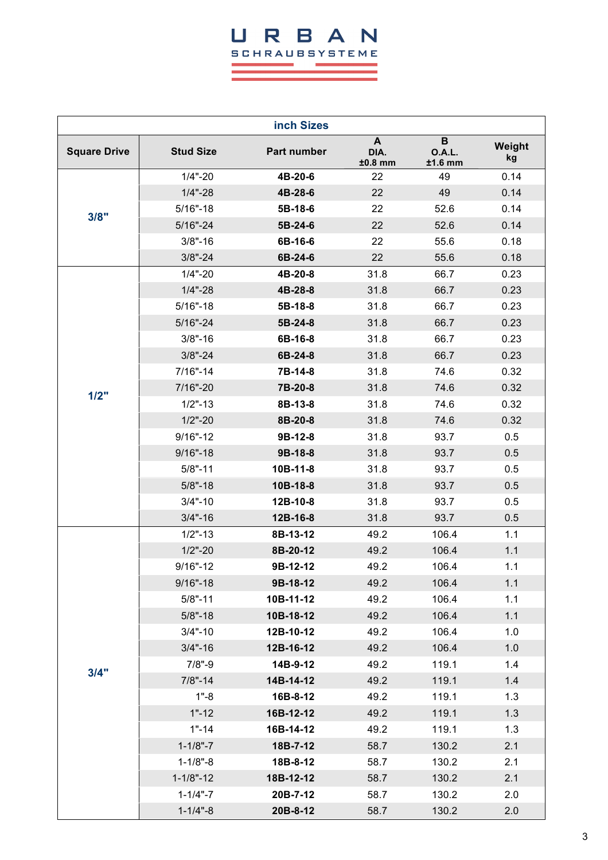### URBAN **SCHRAUBSYSTEME**  $\sim 10^{-1}$  $\mathcal{L}_{\text{max}}$  and  $\mathcal{L}_{\text{max}}$  and  $\mathcal{L}_{\text{max}}$ ÷.

٠

and the control of the control of the control of the control of the control of the control of the control of the

| inch Sizes          |                  |             |                        |                                 |              |
|---------------------|------------------|-------------|------------------------|---------------------------------|--------------|
| <b>Square Drive</b> | <b>Stud Size</b> | Part number | A<br>DIA.<br>$±0.8$ mm | B<br><b>O.A.L.</b><br>$±1.6$ mm | Weight<br>kg |
| 3/8"                | $1/4$ "-20       | 4B-20-6     | 22                     | 49                              | 0.14         |
|                     | $1/4$ "-28       | 4B-28-6     | 22                     | 49                              | 0.14         |
|                     | $5/16" - 18$     | 5B-18-6     | 22                     | 52.6                            | 0.14         |
|                     | $5/16" - 24$     | $5B-24-6$   | 22                     | 52.6                            | 0.14         |
|                     | $3/8" - 16$      | 6B-16-6     | 22                     | 55.6                            | 0.18         |
|                     | $3/8" - 24$      | 6B-24-6     | 22                     | 55.6                            | 0.18         |
|                     | $1/4$ "-20       | 4B-20-8     | 31.8                   | 66.7                            | 0.23         |
|                     | $1/4$ "-28       | 4B-28-8     | 31.8                   | 66.7                            | 0.23         |
|                     | $5/16" - 18$     | 5B-18-8     | 31.8                   | 66.7                            | 0.23         |
|                     | $5/16 - 24$      | 5B-24-8     | 31.8                   | 66.7                            | 0.23         |
|                     | $3/8" - 16$      | 6B-16-8     | 31.8                   | 66.7                            | 0.23         |
|                     | $3/8" - 24$      | 6B-24-8     | 31.8                   | 66.7                            | 0.23         |
|                     | $7/16" - 14$     | 7B-14-8     | 31.8                   | 74.6                            | 0.32         |
| 1/2"                | 7/16"-20         | 7B-20-8     | 31.8                   | 74.6                            | 0.32         |
|                     | $1/2" - 13$      | 8B-13-8     | 31.8                   | 74.6                            | 0.32         |
|                     | $1/2$ "-20       | 8B-20-8     | 31.8                   | 74.6                            | 0.32         |
|                     | $9/16" - 12$     | 9B-12-8     | 31.8                   | 93.7                            | 0.5          |
|                     | $9/16 - 18$      | 9B-18-8     | 31.8                   | 93.7                            | 0.5          |
|                     | $5/8" - 11$      | 10B-11-8    | 31.8                   | 93.7                            | 0.5          |
|                     | $5/8" - 18$      | 10B-18-8    | 31.8                   | 93.7                            | 0.5          |
|                     | $3/4 - 10$       | 12B-10-8    | 31.8                   | 93.7                            | 0.5          |
|                     | $3/4 - 16$       | 12B-16-8    | 31.8                   | 93.7                            | 0.5          |
|                     | $1/2" - 13$      | 8B-13-12    | 49.2                   | 106.4                           | 1.1          |
|                     | $1/2$ "-20       | 8B-20-12    | 49.2                   | 106.4                           | 1.1          |
|                     | $9/16" - 12$     | 9B-12-12    | 49.2                   | 106.4                           | 1.1          |
|                     | $9/16 - 18$      | 9B-18-12    | 49.2                   | 106.4                           | 1.1          |
|                     | $5/8" - 11$      | 10B-11-12   | 49.2                   | 106.4                           | 1.1          |
|                     | $5/8" - 18$      | 10B-18-12   | 49.2                   | 106.4                           | 1.1          |
|                     | $3/4$ "-10       | 12B-10-12   | 49.2                   | 106.4                           | 1.0          |
|                     | $3/4 - 16$       | 12B-16-12   | 49.2                   | 106.4                           | 1.0          |
| 3/4"                | $7/8" - 9$       | 14B-9-12    | 49.2                   | 119.1                           | 1.4          |
|                     | $7/8" - 14$      | 14B-14-12   | 49.2                   | 119.1                           | 1.4          |
|                     | $1 - 8$          | 16B-8-12    | 49.2                   | 119.1                           | 1.3          |
|                     | $1 - 12$         | 16B-12-12   | 49.2                   | 119.1                           | 1.3          |
|                     | $1 - 14$         | 16B-14-12   | 49.2                   | 119.1                           | 1.3          |
|                     | $1 - 1/8" - 7$   | 18B-7-12    | 58.7                   | 130.2                           | 2.1          |
|                     | $1 - 1/8" - 8$   | 18B-8-12    | 58.7                   | 130.2                           | 2.1          |
|                     | $1 - 1/8" - 12$  | 18B-12-12   | 58.7                   | 130.2                           | 2.1          |
|                     | $1 - 1/4 - 7$    | 20B-7-12    | 58.7                   | 130.2                           | 2.0          |
|                     | $1 - 1/4 - 8$    | 20B-8-12    | 58.7                   | 130.2                           | 2.0          |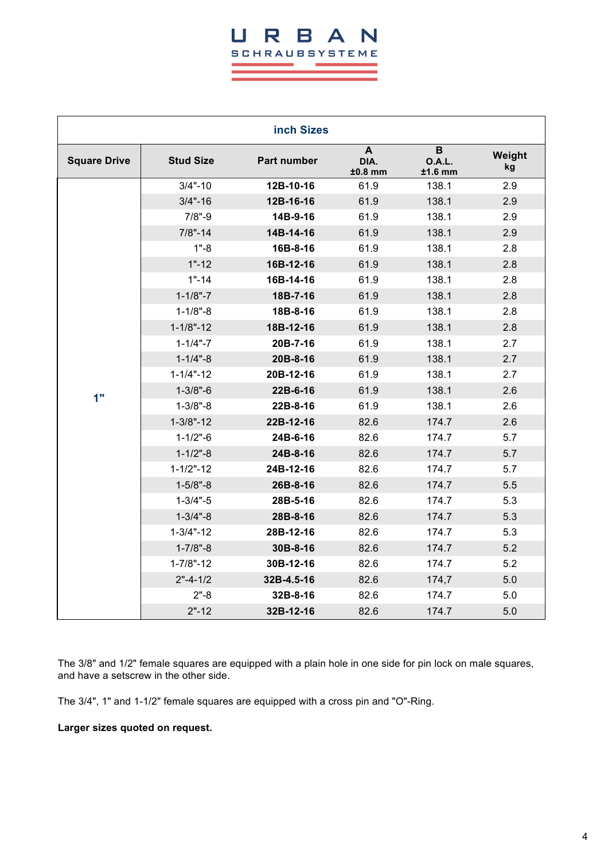#### B H R  $\blacktriangle$ **SCHRAUBSYSTEME**

|                     |                  | inch Sizes         |                        |                          |              |
|---------------------|------------------|--------------------|------------------------|--------------------------|--------------|
| <b>Square Drive</b> | <b>Stud Size</b> | <b>Part number</b> | A<br>DIA.<br>$±0.8$ mm | B<br>O.A.L.<br>$±1.6$ mm | Weight<br>kg |
|                     | $3/4 - 10$       | 12B-10-16          | 61.9                   | 138.1                    | 2.9          |
|                     | $3/4 - 16$       | 12B-16-16          | 61.9                   | 138.1                    | 2.9          |
|                     | $7/8" - 9$       | 14B-9-16           | 61.9                   | 138.1                    | 2.9          |
|                     | $7/8" - 14$      | 14B-14-16          | 61.9                   | 138.1                    | 2.9          |
|                     | $1 - 8$          | 16B-8-16           | 61.9                   | 138.1                    | 2.8          |
|                     | $1 - 12$         | 16B-12-16          | 61.9                   | 138.1                    | 2.8          |
|                     | $1 - 14$         | 16B-14-16          | 61.9                   | 138.1                    | 2.8          |
|                     | $1 - 1/8" - 7$   | 18B-7-16           | 61.9                   | 138.1                    | 2.8          |
|                     | $1 - 1/8" - 8$   | 18B-8-16           | 61.9                   | 138.1                    | 2.8          |
|                     | $1 - 1/8" - 12$  | 18B-12-16          | 61.9                   | 138.1                    | 2.8          |
|                     | $1 - 1/4 - 7$    | 20B-7-16           | 61.9                   | 138.1                    | 2.7          |
|                     | $1 - 1/4 - 8$    | 20B-8-16           | 61.9                   | 138.1                    | 2.7          |
|                     | $1 - 1/4 - 12$   | 20B-12-16          | 61.9                   | 138.1                    | 2.7          |
| 1"                  | $1 - 3/8" - 6$   | 22B-6-16           | 61.9                   | 138.1                    | 2.6          |
|                     | $1 - 3/8" - 8$   | 22B-8-16           | 61.9                   | 138.1                    | 2.6          |
|                     | $1 - 3/8" - 12$  | 22B-12-16          | 82.6                   | 174.7                    | 2.6          |
|                     | $1 - 1/2" - 6$   | 24B-6-16           | 82.6                   | 174.7                    | 5.7          |
|                     | $1 - 1/2" - 8$   | 24B-8-16           | 82.6                   | 174.7                    | 5.7          |
|                     | $1 - 1/2" - 12$  | 24B-12-16          | 82.6                   | 174.7                    | 5.7          |
|                     | $1 - 5/8" - 8$   | 26B-8-16           | 82.6                   | 174.7                    | 5.5          |
|                     | $1 - 3/4 - 5$    | 28B-5-16           | 82.6                   | 174.7                    | 5.3          |
|                     | $1 - 3/4 - 8$    | 28B-8-16           | 82.6                   | 174.7                    | 5.3          |
|                     | $1 - 3/4 - 12$   | 28B-12-16          | 82.6                   | 174.7                    | 5.3          |
|                     | $1 - 7/8$ "-8    | 30B-8-16           | 82.6                   | 174.7                    | 5.2          |
|                     | $1 - 7/8" - 12$  | 30B-12-16          | 82.6                   | 174.7                    | 5.2          |
|                     | $2" - 4 - 1/2$   | 32B-4.5-16         | 82.6                   | 174,7                    | 5.0          |
|                     | $2 - 8$          | 32B-8-16           | 82.6                   | 174.7                    | 5.0          |
|                     | $2" - 12$        | 32B-12-16          | 82.6                   | 174.7                    | 5.0          |

The 3/8" and 1/2" female squares are equipped with a plain hole in one side for pin lock on male squares, and have a setscrew in the other side.

The 3/4", 1" and 1-1/2" female squares are equipped with a cross pin and "O"-Ring.

**Larger sizes quoted on request.**